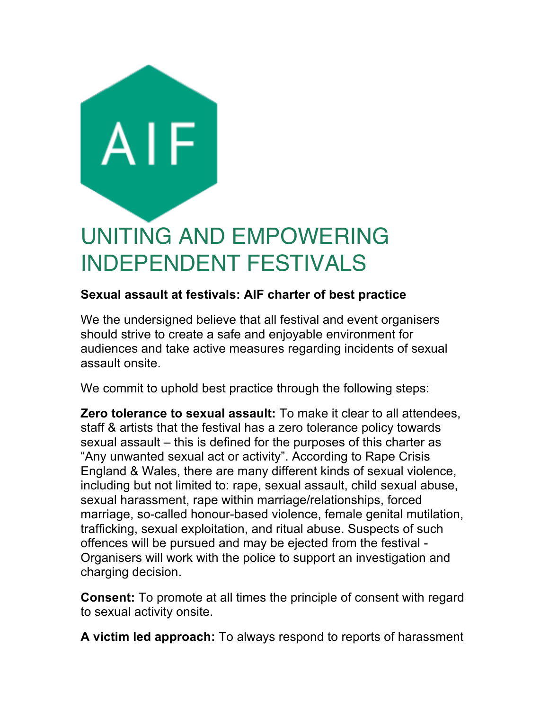

## **Sexual assault at festivals: AIF charter of best practice**

We the undersigned believe that all festival and event organisers should strive to create a safe and enjoyable environment for audiences and take active measures regarding incidents of sexual assault onsite.

We commit to uphold best practice through the following steps:

**Zero tolerance to sexual assault:** To make it clear to all attendees, staff & artists that the festival has a zero tolerance policy towards sexual assault – this is defined for the purposes of this charter as "Any unwanted sexual act or activity". According to Rape Crisis England & Wales, there are many different kinds of sexual violence, including but not limited to: rape, sexual assault, child sexual abuse, sexual harassment, rape within marriage/relationships, forced marriage, so-called honour-based violence, female genital mutilation, trafficking, sexual exploitation, and ritual abuse. Suspects of such offences will be pursued and may be ejected from the festival - Organisers will work with the police to support an investigation and charging decision.

**Consent:** To promote at all times the principle of consent with regard to sexual activity onsite.

**A victim led approach:** To always respond to reports of harassment